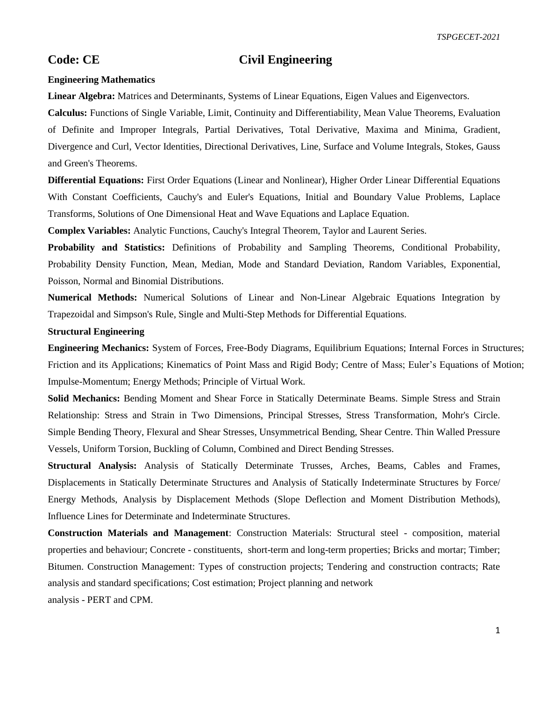# **Code: CE Civil Engineering**

#### **Engineering Mathematics**

**Linear Algebra:** Matrices and Determinants, Systems of Linear Equations, Eigen Values and Eigenvectors.

**Calculus:** Functions of Single Variable, Limit, Continuity and Differentiability, Mean Value Theorems, Evaluation of Definite and Improper Integrals, Partial Derivatives, Total Derivative, Maxima and Minima, Gradient, Divergence and Curl, Vector Identities, Directional Derivatives, Line, Surface and Volume Integrals, Stokes, Gauss and Green's Theorems.

**Differential Equations:** First Order Equations (Linear and Nonlinear), Higher Order Linear Differential Equations With Constant Coefficients, Cauchy's and Euler's Equations, Initial and Boundary Value Problems, Laplace Transforms, Solutions of One Dimensional Heat and Wave Equations and Laplace Equation.

**Complex Variables:** Analytic Functions, Cauchy's Integral Theorem, Taylor and Laurent Series.

**Probability and Statistics:** Definitions of Probability and Sampling Theorems, Conditional Probability, Probability Density Function, Mean, Median, Mode and Standard Deviation, Random Variables, Exponential, Poisson, Normal and Binomial Distributions.

**Numerical Methods:** Numerical Solutions of Linear and Non-Linear Algebraic Equations Integration by Trapezoidal and Simpson's Rule, Single and Multi-Step Methods for Differential Equations.

#### **Structural Engineering**

**Engineering Mechanics:** System of Forces, Free-Body Diagrams, Equilibrium Equations; Internal Forces in Structures; Friction and its Applications; Kinematics of Point Mass and Rigid Body; Centre of Mass; Euler's Equations of Motion; Impulse-Momentum; Energy Methods; Principle of Virtual Work.

**Solid Mechanics:** Bending Moment and Shear Force in Statically Determinate Beams. Simple Stress and Strain Relationship: Stress and Strain in Two Dimensions, Principal Stresses, Stress Transformation, Mohr's Circle. Simple Bending Theory, Flexural and Shear Stresses, Unsymmetrical Bending, Shear Centre. Thin Walled Pressure Vessels, Uniform Torsion, Buckling of Column, Combined and Direct Bending Stresses.

**Structural Analysis:** Analysis of Statically Determinate Trusses, Arches, Beams, Cables and Frames, Displacements in Statically Determinate Structures and Analysis of Statically Indeterminate Structures by Force/ Energy Methods, Analysis by Displacement Methods (Slope Deflection and Moment Distribution Methods), Influence Lines for Determinate and Indeterminate Structures.

**Construction Materials and Management**: Construction Materials: Structural steel - composition, material properties and behaviour; Concrete - constituents, short-term and long-term properties; Bricks and mortar; Timber; Bitumen. Construction Management: Types of construction projects; Tendering and construction contracts; Rate analysis and standard specifications; Cost estimation; Project planning and network

analysis - PERT and CPM.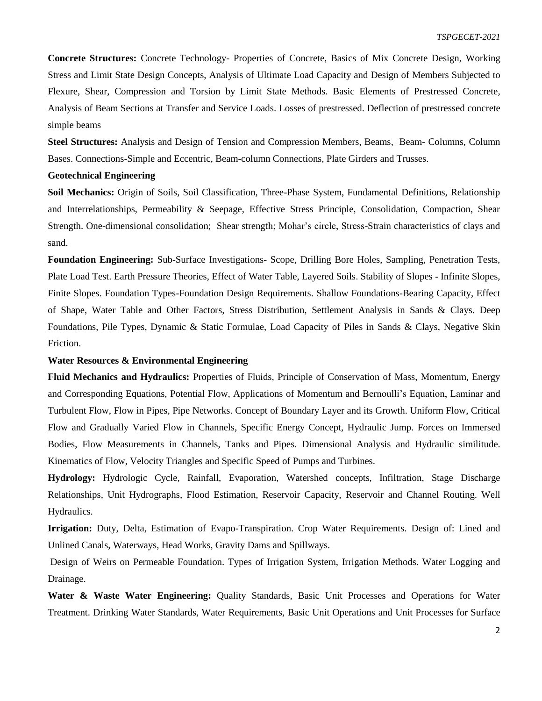**Concrete Structures:** Concrete Technology- Properties of Concrete, Basics of Mix Concrete Design, Working Stress and Limit State Design Concepts, Analysis of Ultimate Load Capacity and Design of Members Subjected to Flexure, Shear, Compression and Torsion by Limit State Methods. Basic Elements of Prestressed Concrete, Analysis of Beam Sections at Transfer and Service Loads. Losses of prestressed. Deflection of prestressed concrete simple beams

**Steel Structures:** Analysis and Design of Tension and Compression Members, Beams, Beam- Columns, Column Bases. Connections-Simple and Eccentric, Beam-column Connections, Plate Girders and Trusses.

## **Geotechnical Engineering**

**Soil Mechanics:** Origin of Soils, Soil Classification, Three-Phase System, Fundamental Definitions, Relationship and Interrelationships, Permeability & Seepage, Effective Stress Principle, Consolidation, Compaction, Shear Strength. One-dimensional consolidation; Shear strength; Mohar's circle, Stress-Strain characteristics of clays and sand.

**Foundation Engineering:** Sub-Surface Investigations- Scope, Drilling Bore Holes, Sampling, Penetration Tests, Plate Load Test. Earth Pressure Theories, Effect of Water Table, Layered Soils. Stability of Slopes - Infinite Slopes, Finite Slopes. Foundation Types-Foundation Design Requirements. Shallow Foundations-Bearing Capacity, Effect of Shape, Water Table and Other Factors, Stress Distribution, Settlement Analysis in Sands & Clays. Deep Foundations, Pile Types, Dynamic & Static Formulae, Load Capacity of Piles in Sands & Clays, Negative Skin Friction.

### **Water Resources & Environmental Engineering**

**Fluid Mechanics and Hydraulics:** Properties of Fluids, Principle of Conservation of Mass, Momentum, Energy and Corresponding Equations, Potential Flow, Applications of Momentum and Bernoulli's Equation, Laminar and Turbulent Flow, Flow in Pipes, Pipe Networks. Concept of Boundary Layer and its Growth. Uniform Flow, Critical Flow and Gradually Varied Flow in Channels, Specific Energy Concept, Hydraulic Jump. Forces on Immersed Bodies, Flow Measurements in Channels, Tanks and Pipes. Dimensional Analysis and Hydraulic similitude. Kinematics of Flow, Velocity Triangles and Specific Speed of Pumps and Turbines.

**Hydrology:** Hydrologic Cycle, Rainfall, Evaporation, Watershed concepts, Infiltration, Stage Discharge Relationships, Unit Hydrographs, Flood Estimation, Reservoir Capacity, Reservoir and Channel Routing. Well Hydraulics.

**Irrigation:** Duty, Delta, Estimation of Evapo-Transpiration. Crop Water Requirements. Design of: Lined and Unlined Canals, Waterways, Head Works, Gravity Dams and Spillways.

Design of Weirs on Permeable Foundation. Types of Irrigation System, Irrigation Methods. Water Logging and Drainage.

**Water & Waste Water Engineering:** Quality Standards, Basic Unit Processes and Operations for Water Treatment. Drinking Water Standards, Water Requirements, Basic Unit Operations and Unit Processes for Surface